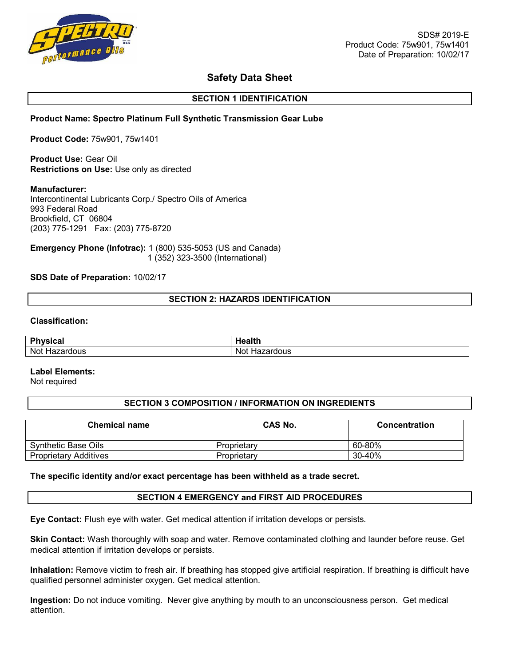

# **Safety Data Sheet**

## **SECTION 1 IDENTIFICATION**

## **Product Name: Spectro Platinum Full Synthetic Transmission Gear Lube**

**Product Code:** 75w901, 75w1401

**Product Use:** Gear Oil **Restrictions on Use:** Use only as directed

#### **Manufacturer:**

Intercontinental Lubricants Corp./ Spectro Oils of America 993 Federal Road Brookfield, CT 06804 (203) 775-1291 Fax: (203) 775-8720

**Emergency Phone (Infotrac):** 1 (800) 535-5053 (US and Canada) 1 (352) 323-3500 (International)

#### **SDS Date of Preparation:** 10/02/17

#### **SECTION 2: HAZARDS IDENTIFICATION**

#### **Classification:**

| D <sub>b</sub> | .         |
|----------------|-----------|
| weiesl         | .         |
| .              | וספונו    |
| Not            | Not.      |
| Hazardous      | Hazardous |

#### **Label Elements:**

Not required

#### **SECTION 3 COMPOSITION / INFORMATION ON INGREDIENTS**

| <b>Chemical name</b>         | <b>CAS No.</b> | <b>Concentration</b> |
|------------------------------|----------------|----------------------|
| Synthetic Base Oils          | Proprietary    | 60-80%               |
| <b>Proprietary Additives</b> | Proprietary    | 30-40%               |

#### **The specific identity and/or exact percentage has been withheld as a trade secret.**

#### **SECTION 4 EMERGENCY and FIRST AID PROCEDURES**

**Eye Contact:** Flush eye with water. Get medical attention if irritation develops or persists.

**Skin Contact:** Wash thoroughly with soap and water. Remove contaminated clothing and launder before reuse. Get medical attention if irritation develops or persists.

**Inhalation:** Remove victim to fresh air. If breathing has stopped give artificial respiration. If breathing is difficult have qualified personnel administer oxygen. Get medical attention.

**Ingestion:** Do not induce vomiting. Never give anything by mouth to an unconsciousness person. Get medical attention.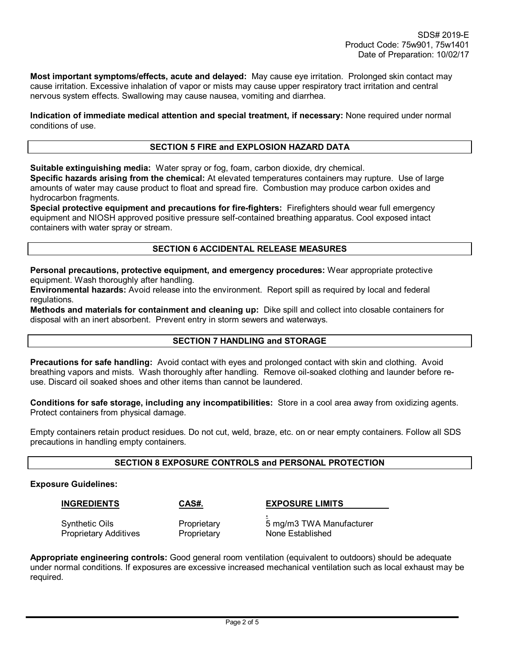**Most important symptoms/effects, acute and delayed:** May cause eye irritation. Prolonged skin contact may cause irritation. Excessive inhalation of vapor or mists may cause upper respiratory tract irritation and central nervous system effects. Swallowing may cause nausea, vomiting and diarrhea.

**Indication of immediate medical attention and special treatment, if necessary:** None required under normal conditions of use.

## **SECTION 5 FIRE and EXPLOSION HAZARD DATA**

**Suitable extinguishing media:** Water spray or fog, foam, carbon dioxide, dry chemical.

**Specific hazards arising from the chemical:** At elevated temperatures containers may rupture. Use of large amounts of water may cause product to float and spread fire. Combustion may produce carbon oxides and hydrocarbon fragments.

**Special protective equipment and precautions for fire-fighters:** Firefighters should wear full emergency equipment and NIOSH approved positive pressure self-contained breathing apparatus. Cool exposed intact containers with water spray or stream.

## **SECTION 6 ACCIDENTAL RELEASE MEASURES**

**Personal precautions, protective equipment, and emergency procedures:** Wear appropriate protective equipment. Wash thoroughly after handling.

**Environmental hazards:** Avoid release into the environment. Report spill as required by local and federal regulations.

**Methods and materials for containment and cleaning up:** Dike spill and collect into closable containers for disposal with an inert absorbent. Prevent entry in storm sewers and waterways.

#### **SECTION 7 HANDLING and STORAGE**

**Precautions for safe handling:** Avoid contact with eyes and prolonged contact with skin and clothing. Avoid breathing vapors and mists. Wash thoroughly after handling. Remove oil-soaked clothing and launder before reuse. Discard oil soaked shoes and other items than cannot be laundered.

**Conditions for safe storage, including any incompatibilities:** Store in a cool area away from oxidizing agents. Protect containers from physical damage.

Empty containers retain product residues. Do not cut, weld, braze, etc. on or near empty containers. Follow all SDS precautions in handling empty containers.

## **SECTION 8 EXPOSURE CONTROLS and PERSONAL PROTECTION**

#### **Exposure Guidelines:**

#### **INGREDIENTS CAS#. EXPOSURE LIMITS**

Proprietary Additives Proprietary

**.**  Synthetic Oils Proprietary 5 mg/m3 TWA Manufacturer

**Appropriate engineering controls:** Good general room ventilation (equivalent to outdoors) should be adequate under normal conditions. If exposures are excessive increased mechanical ventilation such as local exhaust may be required.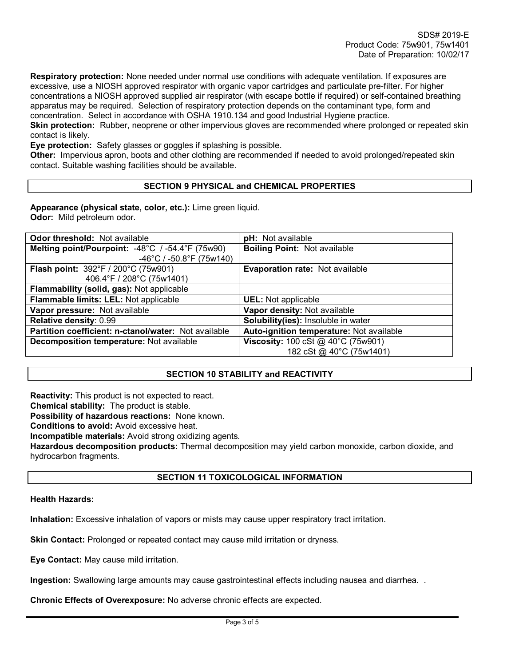**Respiratory protection:** None needed under normal use conditions with adequate ventilation. If exposures are excessive, use a NIOSH approved respirator with organic vapor cartridges and particulate pre-filter. For higher concentrations a NIOSH approved supplied air respirator (with escape bottle if required) or self-contained breathing apparatus may be required. Selection of respiratory protection depends on the contaminant type, form and concentration. Select in accordance with OSHA 1910.134 and good Industrial Hygiene practice.

**Skin protection:** Rubber, neoprene or other impervious gloves are recommended where prolonged or repeated skin contact is likely.

**Eye protection:** Safety glasses or goggles if splashing is possible.

**Other:** Impervious apron, boots and other clothing are recommended if needed to avoid prolonged/repeated skin contact. Suitable washing facilities should be available.

## **SECTION 9 PHYSICAL and CHEMICAL PROPERTIES**

**Appearance (physical state, color, etc.):** Lime green liquid. **Odor:** Mild petroleum odor.

| <b>Odor threshold: Not available</b>                 | pH: Not available                           |  |  |
|------------------------------------------------------|---------------------------------------------|--|--|
| Melting point/Pourpoint: -48°C / -54.4°F (75w90)     | <b>Boiling Point: Not available</b>         |  |  |
| $-46^{\circ}$ C / $-50.8^{\circ}$ F (75w140)         |                                             |  |  |
| Flash point: 392°F / 200°C (75w901)                  | Evaporation rate: Not available             |  |  |
| 406.4°F / 208°C (75w1401)                            |                                             |  |  |
| Flammability (solid, gas): Not applicable            |                                             |  |  |
| Flammable limits: LEL: Not applicable                | <b>UEL:</b> Not applicable                  |  |  |
| Vapor pressure: Not available                        | Vapor density: Not available                |  |  |
| Relative density: 0.99                               | Solubility(ies): Insoluble in water         |  |  |
| Partition coefficient: n-ctanol/water: Not available | Auto-ignition temperature: Not available    |  |  |
| Decomposition temperature: Not available             | <b>Viscosity:</b> 100 cSt $@$ 40°C (75w901) |  |  |
|                                                      | 182 cSt @ 40°C (75w1401)                    |  |  |

## **SECTION 10 STABILITY and REACTIVITY**

**Reactivity:** This product is not expected to react.

**Chemical stability:** The product is stable.

**Possibility of hazardous reactions:** None known.

**Conditions to avoid:** Avoid excessive heat.

**Incompatible materials:** Avoid strong oxidizing agents.

**Hazardous decomposition products:** Thermal decomposition may yield carbon monoxide, carbon dioxide, and hydrocarbon fragments.

## **SECTION 11 TOXICOLOGICAL INFORMATION**

#### **Health Hazards:**

**Inhalation:** Excessive inhalation of vapors or mists may cause upper respiratory tract irritation.

**Skin Contact:** Prolonged or repeated contact may cause mild irritation or dryness.

**Eye Contact:** May cause mild irritation.

**Ingestion:** Swallowing large amounts may cause gastrointestinal effects including nausea and diarrhea. .

**Chronic Effects of Overexposure:** No adverse chronic effects are expected.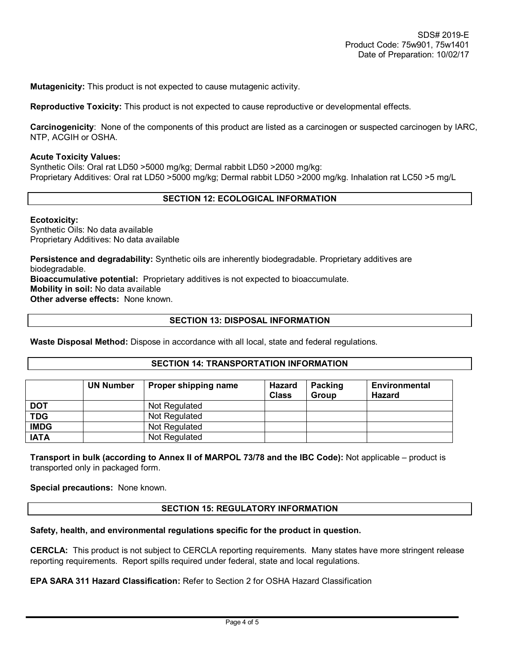**Mutagenicity:** This product is not expected to cause mutagenic activity.

**Reproductive Toxicity:** This product is not expected to cause reproductive or developmental effects.

**Carcinogenicity**: None of the components of this product are listed as a carcinogen or suspected carcinogen by IARC, NTP, ACGIH or OSHA.

#### **Acute Toxicity Values:**

Synthetic Oils: Oral rat LD50 >5000 mg/kg; Dermal rabbit LD50 >2000 mg/kg: Proprietary Additives: Oral rat LD50 >5000 mg/kg; Dermal rabbit LD50 >2000 mg/kg. Inhalation rat LC50 >5 mg/L

#### **SECTION 12: ECOLOGICAL INFORMATION**

#### **Ecotoxicity:**

Synthetic Oils: No data available Proprietary Additives: No data available

**Persistence and degradability:** Synthetic oils are inherently biodegradable. Proprietary additives are biodegradable. **Bioaccumulative potential:** Proprietary additives is not expected to bioaccumulate. **Mobility in soil:** No data available **Other adverse effects:** None known.

#### **SECTION 13: DISPOSAL INFORMATION**

**Waste Disposal Method:** Dispose in accordance with all local, state and federal regulations.

#### **SECTION 14: TRANSPORTATION INFORMATION**

|             | <b>UN Number</b> | Proper shipping name | <b>Hazard</b><br><b>Class</b> | Packing<br><b>Group</b> | Environmental<br><b>Hazard</b> |
|-------------|------------------|----------------------|-------------------------------|-------------------------|--------------------------------|
| <b>DOT</b>  |                  | Not Regulated        |                               |                         |                                |
| <b>TDG</b>  |                  | Not Regulated        |                               |                         |                                |
| <b>IMDG</b> |                  | Not Regulated        |                               |                         |                                |
| <b>IATA</b> |                  | Not Regulated        |                               |                         |                                |

**Transport in bulk (according to Annex II of MARPOL 73/78 and the IBC Code):** Not applicable – product is transported only in packaged form.

**Special precautions:** None known.

#### **SECTION 15: REGULATORY INFORMATION**

#### **Safety, health, and environmental regulations specific for the product in question.**

**CERCLA:** This product is not subject to CERCLA reporting requirements. Many states have more stringent release reporting requirements. Report spills required under federal, state and local regulations.

## **EPA SARA 311 Hazard Classification:** Refer to Section 2 for OSHA Hazard Classification